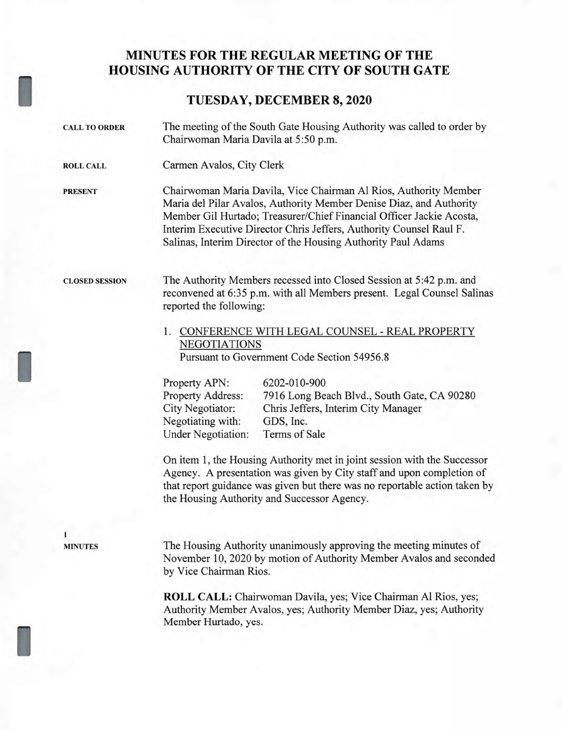## **MINUTES FOR THE REGULAR MEETING OF THE HOUSING AUTHORITY OF THE CITY OF SOUTH GATE**

## I **TUESDAY, DECEMBER 8, 2020**

| <b>CALL TO ORDER</b>  | The meeting of the South Gate Housing Authority was called to order by<br>Chairwoman Maria Davila at 5:50 p.m.                                                                                                                                                                                                                                          |
|-----------------------|---------------------------------------------------------------------------------------------------------------------------------------------------------------------------------------------------------------------------------------------------------------------------------------------------------------------------------------------------------|
| <b>ROLL CALL</b>      | Carmen Avalos, City Clerk                                                                                                                                                                                                                                                                                                                               |
| <b>PRESENT</b>        | Chairwoman Maria Davila, Vice Chairman Al Rios, Authority Member<br>Maria del Pilar Avalos, Authority Member Denise Diaz, and Authority<br>Member Gil Hurtado; Treasurer/Chief Financial Officer Jackie Acosta,<br>Interim Executive Director Chris Jeffers, Authority Counsel Raul F.<br>Salinas, Interim Director of the Housing Authority Paul Adams |
| <b>CLOSED SESSION</b> | The Authority Members recessed into Closed Session at 5:42 p.m. and<br>reconvened at 6:35 p.m. with all Members present. Legal Counsel Salinas<br>reported the following:<br>1. CONFERENCE WITH LEGAL COUNSEL - REAL PROPERTY<br><b>NEGOTIATIONS</b><br>Pursuant to Government Code Section 54956.8                                                     |
|                       | Property APN:<br>6202-010-900<br>Property Address:<br>7916 Long Beach Blvd., South Gate, CA 90280<br>City Negotiator:<br>Chris Jeffers, Interim City Manager<br>Negotiating with:<br>GDS, Inc.<br><b>Under Negotiation:</b><br>Terms of Sale<br>On item 1, the Housing Authority met in joint session with the Successor                                |
|                       | Agency. A presentation was given by City staff and upon completion of<br>that report guidance was given but there was no reportable action taken by<br>the Housing Authority and Successor Agency.                                                                                                                                                      |
| <b>MINUTES</b>        | The Housing Authority unanimously approving the meeting minutes of<br>November 10, 2020 by motion of Authority Member Avalos and seconded<br>by Vice Chairman Rios.                                                                                                                                                                                     |
|                       | <b>ROLL CALL:</b> Chairwoman Davila, yes; Vice Chairman Al Rios, yes;<br>Authority Member Avalos, yes; Authority Member Diaz, yes; Authority<br>Member Hurtado, yes.                                                                                                                                                                                    |

I

I